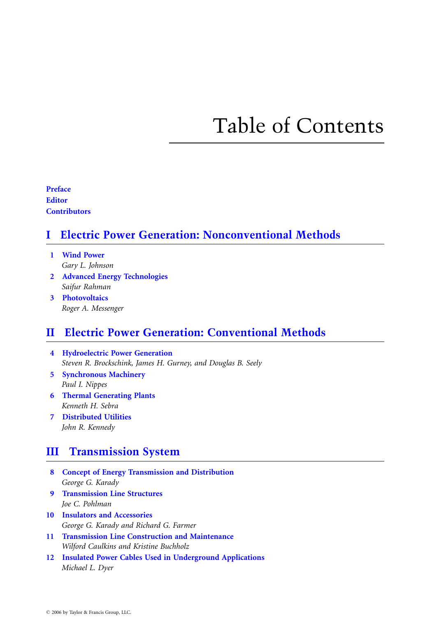# Table of Contents

Preface **Editor Contributors** 

### I Electric Power Generation: Nonconventional Methods

- [1 Wind Power](#page-2-0) Gary L. Johnson
- 2 Advanced Energy Technologies Saifur Rahman
- 3 Photovoltaics Roger A. Messenger

#### II Electric Power Generation: Conventional Methods

- [4 Hydroelectric Power Generation](#page-2-0) Steven R. Brockschink, James H. Gurney, and Douglas B. Seely
- 5 Synchronous Machinery Paul I. Nippes
- 6 Thermal Generating Plants Kenneth H. Sebra
- 7 Distributed Utilities John R. Kennedy

#### III Transmission System

- [8 Concept of Energy Transmission and Distribution](#page-2-0) George G. Karady
- 9 Transmission Line Structures Joe C. Pohlman
- 10 Insulators and Accessories George G. Karady and Richard G. Farmer
- 11 Transmission Line Construction and Maintenance Wilford Caulkins and Kristine Buchholz
- 12 Insulated Power Cables Used in Underground Applications Michael L. Dyer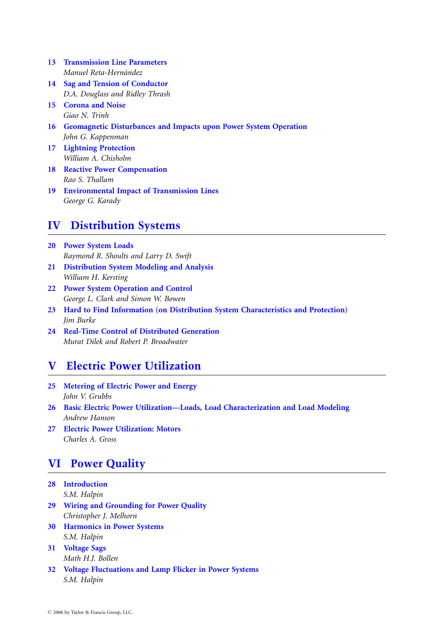- 13 Transmission Line Parameters Manuel Reta-Hernández
- 14 Sag and Tension of Conductor D.A. Douglass and Ridley Thrash
- 15 Corona and Noise Giao N. Trinh
- 16 Geomagnetic Disturbances and Impacts upon Power System Operation John G. Kappenman
- 17 Lightning Protection William A. Chisholm
- 18 Reactive Power Compensation Rao S. Thallam
- 19 Environmental Impact of Transmission Lines George G. Karady

### IV Distribution Systems

- [20 Power System Loads](#page-2-0) Raymond R. Shoults and Larry D. Swift
- 21 Distribution System Modeling and Analysis William H. Kersting
- 22 Power System Operation and Control George L. Clark and Simon W. Bowen
- 23 Hard to Find Information (on Distribution System Characteristics and Protection) Jim Burke
- 24 Real-Time Control of Distributed Generation Murat Dilek and Robert P. Broadwater

#### V Electric Power Utilization

- [25 Metering of Electric Power and Energy](#page-2-0) John V. Grubbs
- 26 Basic Electric Power Utilization—Loads, Load Characterization and Load Modeling Andrew Hanson
- 27 Electric Power Utilization: Motors Charles A. Gross

#### VI Power Quality

- [28 Introduction](#page-2-0) S.M. Halpin
- 29 Wiring and Grounding for Power Quality Christopher J. Melhorn
- 30 Harmonics in Power Systems S.M. Halpin
- 31 Voltage Sags Math H.J. Bollen
- 32 Voltage Fluctuations and Lamp Flicker in Power Systems S.M. Halpin